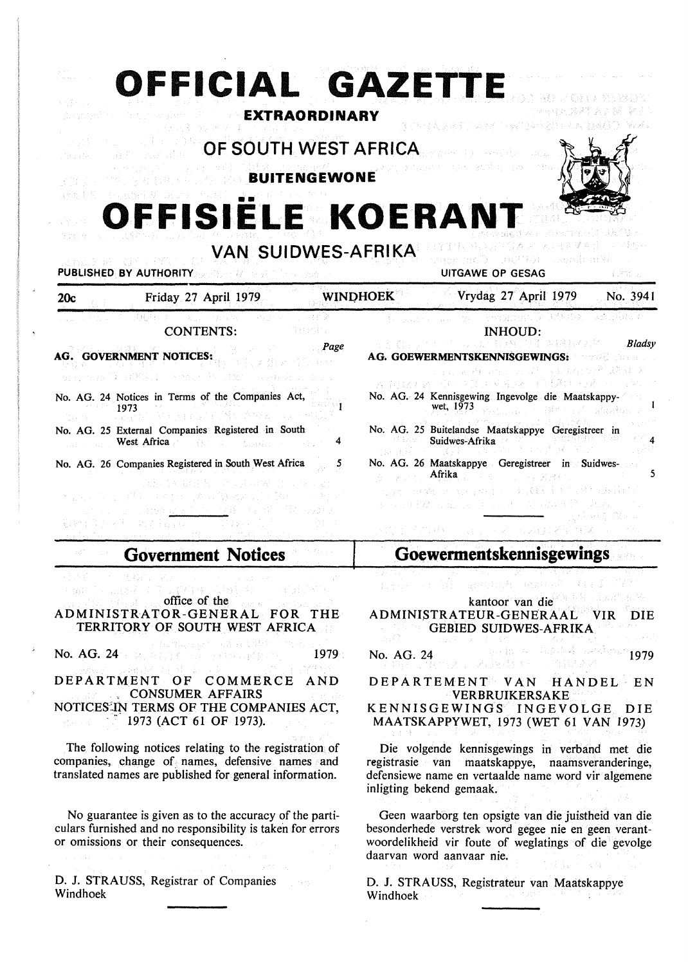| OFFICIAL GAZETTE<br>人生地 医索罗氏<br>OF SOUTH WEST AFRICA<br>19.5572<br>OFFISIELE KOERANT<br>VAN SUIDWES-AFRIKA<br><b>PUBLISHED BY AUTHORITY</b><br>Port <i>u L</i> e                                                                                                                                                                                                                                                                                                                                                                                                                       | <b>EXTRAORDINARY</b><br><b>BUITENGEWONE</b> |                 | a go Gill Bugay<br>o sema Biography<br><b>UITGAWE OP GESAG</b>                                                                                                                                                                                                                                                                                                                                                                |                                 |
|----------------------------------------------------------------------------------------------------------------------------------------------------------------------------------------------------------------------------------------------------------------------------------------------------------------------------------------------------------------------------------------------------------------------------------------------------------------------------------------------------------------------------------------------------------------------------------------|---------------------------------------------|-----------------|-------------------------------------------------------------------------------------------------------------------------------------------------------------------------------------------------------------------------------------------------------------------------------------------------------------------------------------------------------------------------------------------------------------------------------|---------------------------------|
| Friday 27 April 1979<br>20c                                                                                                                                                                                                                                                                                                                                                                                                                                                                                                                                                            |                                             | <b>WINDHOEK</b> | Vrydag 27 April 1979                                                                                                                                                                                                                                                                                                                                                                                                          | No. 3941                        |
| ing pagkalang pagkalang<br><b>CONTENTS:</b><br><b>AG. GOVERNMENT NOTICES:</b><br>化氧化氢氧乙基 (1781) 2010 计分配计算机<br>No. AG. 24 Notices in Terms of the Companies Act,<br>1973<br>No. AG. 25 External Companies Registered in South<br>West Africa and Constitution of the Countries<br>No. AG. 26 Companies Registered in South West Africa                                                                                                                                                                                                                                                 | Page<br>4<br>5                              | titi Mac        | Kanadia Company<br>INHOUD:<br>TA [19] [14] [15]<br>A.G. GOEWERMENTSKENNISGEWINGS:<br>- Foundation Street (1998年以来)<br>人向这个人 医卡茨耳克尼米 指模用的<br>No. AG. 24 Kennisgewing Ingevolge die Maatskappy-<br>wet, 1973<br>らい、 言言 こうほぜ いっぱい 弱気運動症<br>No. AG. 25 Buitelandse Maatskappye Geregistreer in<br>Suidwes-Afrika<br>No. AG. 26 Maatskappye Geregistreer in Suidwes-<br>Afrika<br>しょうしゅうせいしょう よのまいしょ 議員員<br>きっこう 控び こぼしょうかん まいはからな | <b>Bladsy</b><br>이 사람은 다녀와 말라보다 |
| <b>Government Notices</b>                                                                                                                                                                                                                                                                                                                                                                                                                                                                                                                                                              |                                             |                 | Goewermentskennisgewings                                                                                                                                                                                                                                                                                                                                                                                                      |                                 |
| $\mathbb{E}[\mathfrak{g} \mathfrak{g}(\mathbb{C})] \cdot \max\{ \mathbb{E}[\mathbb{C}[\mathbb{C}[\mathbb{C}[\mathbb{C}])] \times \mathbb{S}[\mathbb{C}[\mathbb{C}[\mathbb{C}]) \cap \mathbb{S}[\mathbb{C}[\mathbb{C}[\mathbb{C}]) \} ]$<br>office of the state of the state of the state of the state of the state of the state of the state of the state of the state of the state of the state of the state of the state of the state of the state of the state of the<br>ADMINISTRATOR-GENERAL FOR THE<br>TERRITORY OF SOUTH WEST AFRICA<br>a sa mangangka sa Karangar Pata na masa |                                             |                 | Professor AR SECONDA CONDUCT AT JUST TATE<br>kantoor van die Albert Barthers<br>ADMINISTRATEUR-GENERAAL VIR<br><b>GEBIED SUIDWES-AFRIKA</b><br>a Birkan dan sebagai                                                                                                                                                                                                                                                           | <b>DIE</b>                      |
| No. AG. 24 (112), Weight of the Property of the Magazine<br>放線子 しみねおんぽう ゆうようすい アール・プリット<br>DEPARTMENT OF COMMERCE AND<br><b>CONSUMER AFFAIRS</b><br>NOTICES IN TERMS OF THE COMPANIES ACT,<br>$\sim$ 1973 (ACT 61 OF 1973).                                                                                                                                                                                                                                                                                                                                                            | 1979<br>작연 사진~<br>r leh satu                | No. AG. 24      | and in the HD decision of the $1979^\circ$<br>(1) 望和这个, SK()图443(4) (1) 的复数医学<br>DEPARTEMENT VAN HANDEL EN<br><b>VERBRUIKERSAKE</b><br>KENNISGEWINGS INGEVOLGE<br>MAATSKAPPYWET, 1973 (WET 61 VAN 1973)                                                                                                                                                                                                                       | DIE                             |
| The following notices relating to the registration of<br>companies, change of names, defensive names and<br>translated names are published for general information.                                                                                                                                                                                                                                                                                                                                                                                                                    |                                             |                 | Die volgende kennisgewings in verband met die<br>registrasie van maatskappye, naamsveranderinge,<br>defensiewe name en vertaalde name word vir algemene<br>inligting bekend gemaak.                                                                                                                                                                                                                                           |                                 |
| No guarantee is given as to the accuracy of the parti-<br>culars furnished and no responsibility is taken for errors<br>or omissions or their consequences.                                                                                                                                                                                                                                                                                                                                                                                                                            |                                             |                 | Geen waarborg ten opsigte van die juistheid van die<br>besonderhede verstrek word gegee nie en geen verant-<br>woordelikheid vir foute of weglatings of die gevolge<br>daarvan word aanvaar nie.                                                                                                                                                                                                                              | 나는 술을 보고 나왔다. 그 그 그 그 그 그 것 같아. |

D. J. STRAUSS, Registrar of Companies Windhoek

D. J. STRAUSS, Registrateur van Maatskappye Windhoek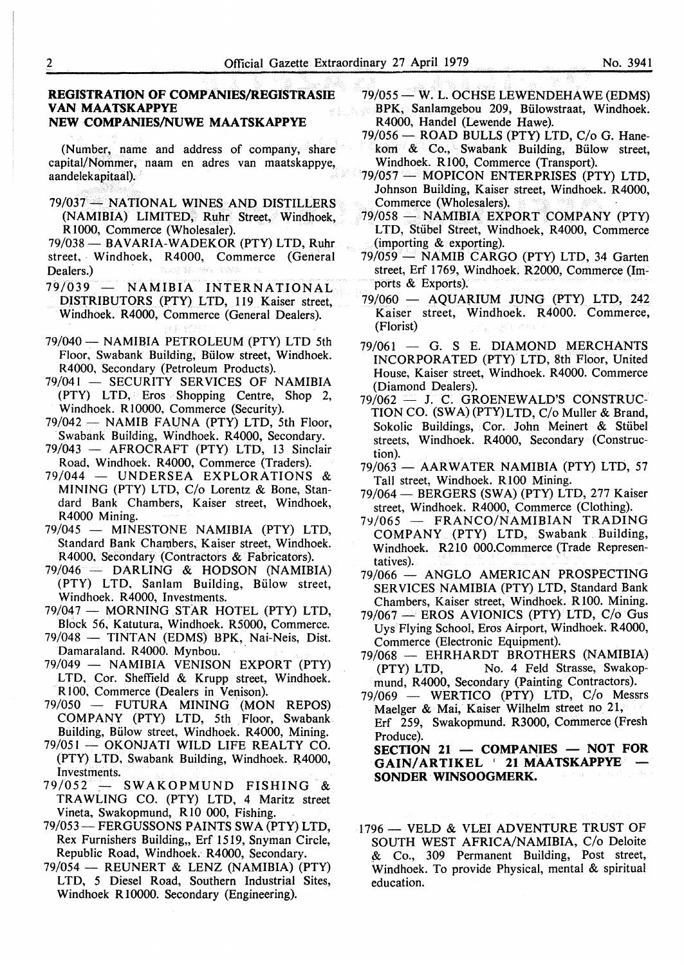## **REGISTRATION OF COMP ANIES/REGISTRASIE VAN MAATSKAPPYE NEW COMPANIES/NUWE MAATSKAPPYE**

(Number, name and address of company, share capital/Nommer, naam en adres van maatskappye, aandelekapitaal).

79/037 - NATIONAL WINES AND DISTILLERS (NAMIBIA) LIMITED, Ruhr Street, Windhoek, R 1000, Commerce (Wholesaler).

79/038 - BAVARIA-WADEKOR (PTY) LTD, Ruhr street, Windhoek, R4000, Commerce (General Dealers.)

- 79/039 NAMIBIA INTERNATIONAL DISTRIBUTORS (PTY) LTD, 119 Kaiser street, Windhoek. R4000, Commerce (General Dealers).
- 79/040 NAMIBIA PETROLEUM (PTY) LTD 5th Floor, Swabank Building, Billow street, Windhoek. R4000, Secondary (Petroleum Products).
- 79/041 SECURITY SERVICES OF NAMIBIA (PTY) LTD, Eros Shopping Centre, Shop 2, Windhoek. RIOOOO, Commerce (Security).
- $79/042$  NAMIB FAUNA (PTY) LTD, 5th Floor, Swabank Building, Windhoek. R4000, Secondary.
- 79/043 AFROCRAFT (PTY) LTD, 13 Sinclair Road, Windhoek. R4000, Commerce (Traders).
- 79/044 UNDERSEA EXPLORATIONS MINING (PTY) LTD, C/o Lorentz & Bone, Standard Bank Chambers, Kaiser street, Windhoek, R4000 Mining.
- 79/045 MINESTONE **NAMIBIA** (PTY) LTD, Standard Bank Chambers, Kaiser street, Windhoek. R4000, Secondary (Contractors & Fabricators).
- 79/046 **DARLING** & **HODSON (NAMIBIA)**  (PTY) LTD, Sanlam Building, Bülow street, Windhoek. R4000, Investments.
- 79/047 MORNING STAR HOTEL (PTY) LTD, Block 56, Katutura, Windhoek. R5000, Commerce.
- 79/048 TINTAN (EDMS) BPK, Nai-Neis, Dist. Damaraland. R4000. Mynbou.
- 79/049 NAMIBIA VENISON EXPORT (PTY) LTD, Cor. Sheffield & Krupp street, Windhoek. RIOO, Commerce (Dealers in Venison).
- 79/050 FUTURA MINING (MON REPOS) COMPANY (PTY) LTD, 5th Floor, Swabank Building, Bulow street, Windhoek. R4000, Mining.
- 79/051 OKONJATI WILD LIFE REALTY CO. (PTY) LTD, Swabank Building, Windhoek. R4000, Investments.
- 79/052 ~ SWAKOPMUND FISHING & TRAWLING CO. (PTY) LTD, 4 Maritz street Vineta, Swakopmund, R 10 000, Fishing.
- 79/053-FERGUSSONS PAINTS SWA (PTY) LTD, Rex Furnishers Building,, Erf 1519, Snyman Circle, Republic Road, Windhoek. R4000, Secondary.
- 79/054 REUNERT & LENZ (NAMIBIA) (PTY) LTD, 5 Diesel Road, Southern Industrial Sites, Windhoek R 10000. Secondary (Engineering).
- 79/055 W. L. OCHSE LEWENDEHAWE (EDMS) BPK, Sanlamgebou 209, Biilowstraat, Windhoek. R4000, Handel (Lewende Hawe).
- 79/056 ROAD BULLS (PTY) LTD, C/o G. Hanekom & Co., Swabank Building, Bülow street, Windhoek. R 100, Commerce (Transport).
- 79/057 MOPICON ENTERPRISES (PTY) LTD, Johnson Building, Kaiser street, Windhoek. R4000, Commerce (Wholesalers).
- 79/058 NAMIBIA EXPORT COMPANY (PTY) LTD, Stiibel Street, Windhoek, R4000, Commerce (importing & exporting).
- 79/059 **NAMIB** CARGO (PTY) LTD, 34 Garten street, Erf 1769, Windhoek. R2000, Commerce (Imports & Exports).
- $79/060$  AQUARIUM JUNG (PTY) LTD, 242 Kaiser street, Windhoek. R4000. Commerce, (Florist)
- $79/061$  G. S E. DIAMOND MERCHANTS INCORPORATED (PTY) LTD, 8th Floor, United House, Kaiser street, Windhoek. R4000. Commerce (Diamond Dealers).
- 79/062 J. C. GROENEWALD'S CONSTRUC-TION CO. **(SWA)** (PTY)LTD, C/o Muller & Brand, Sokolic Buildings, Cor. John Meinert & Stiibel streets, Windhoek. R4000, Secondary (Construction).
- 79/063 AARWATER NAMIBIA (PTY) LTD, 57 Tall street, Windhoek. RlOO Mining.
- 79/064 BERGERS (SWA) (PTY) LTD, 277 Kaiser street, Windhoek. R4000, Commerce (Clothing).
- 79/065 FRANCO/NAMIBIAN TRADING COMPANY (PTY) LTD, Swabank Building, Windhoek. R210 000.Commerce (Trade Representatives).
- 79/066 ANGLO AMERICAN PROSPECTING SERVICES NAMIBIA (PTY) LTD, Standard Bank Chambers, Kaiser street, Windhoek. R 100. Mining.
- $79/067$   $-$  EROS AVIONICS (PTY) LTD, C/o Gus Uys Flying School, Eros Airport, Windhoek. R4000, Commerce (Electronic Equipment).
- 79/068 EHRHARDT BROTHERS (NAMIBIA) (PTY) LTD, No. 4 Feld Strasse, Swakopmund, R4000, Secondary (Painting Contractors).
- 79/069 WERTICO (PTY) LTD, C/o Messrs Maelger & Mai, Kaiser Wilhelm street no 21, Erf 259, Swakopmund. R3000, Commerce (Fresh Produce).

 $SECTION 21$  - **COMPANIES** - **NOT FOR GAIN/ARTIKEL ' 21 MAATSKAPPYE SONDER WINSOOGMERK.** 

1796 - VELD & VLEI ADVENTURE TRUST OF SOUTH WEST AFRICA/NAMIBIA, C/o Deloite .& Co., 309 Permanent Building, Post street, Windhoek. To provide Physical, mental & spiritual education.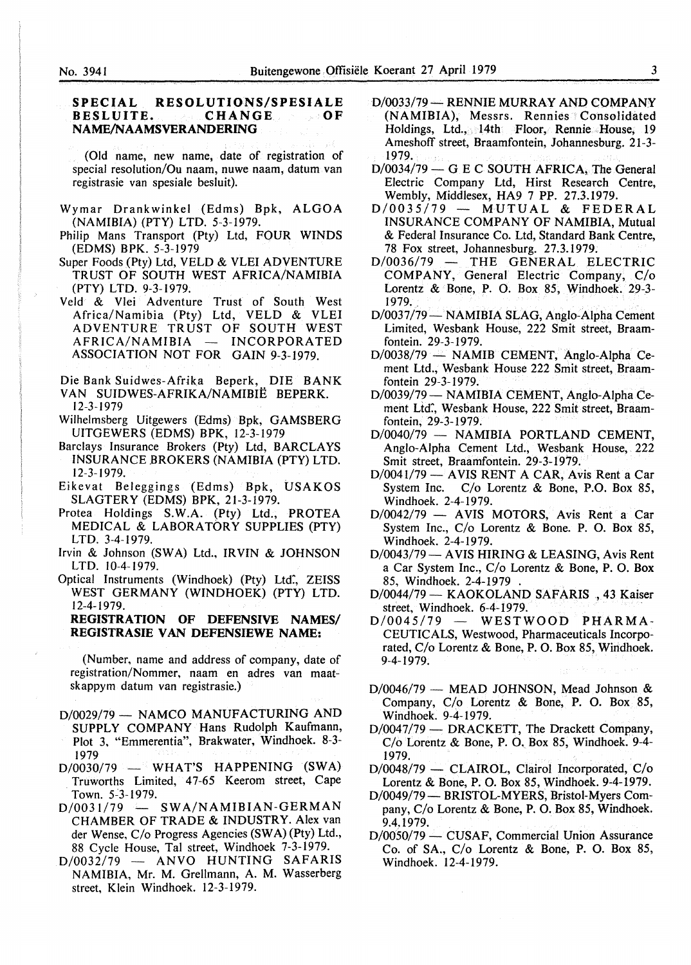# **SPECIAL RESOLUTIONS/SPESIALE BESLUITE. NAME/NAAMSVERANDERING**

(Old name, new name, date of registration of special resolution/Ou naam, nuwe naam, datum van registrasie van spesiale besluit).

- Wymar Drankwinkel (Edms) Bpk, ALGOA (NAMIBIA) (PTY) LTD. 5-3-1979.
- Philip Mans Transport (Pty) Ltd, FOUR WINDS (EDMS) BPK. 5-3-1979
- Super Foods {Pty) Ltd, VELD & VLEI ADVENTURE TRUST OF SOUTH WEST AFRICA/NAMIBIA (PTY) LTD. 9-3-1979.
- Veld & Vlei Adventure Trust of South West Africa/Namibia (Pty) Ltd, VELD & VLEI ADVENTURE TRUST OF SOUTH WEST AFRICA/NAMIBIA - INCORPORATED ASSOCIATION NOT FOR GAIN 9-3-1979.

Die Bank Suidwes-Afrika Beperk, DIE BANK VAN SUIDWES-AFRIKA/NAMIBIE BEPERK.

- 12-3-1979
- Wilhelmsberg Uitgewers (Edms) Bpk, GAMSBERG UITGEWERS (EDMS) BPK, 12-3-1979
- Barclays Insurance Brokers (Pty) Ltd, BARCLAYS INSURANCE BROKERS (NAMIBIA (PTY) LTD. 12-3-1979.
- Eikevat Beleggings (Edms) Bpk, USAKOS SLAGTERY (EDMS) BPK, 21-3-1979.
- Protea Holdings S.W.A. (Pty) Ltd., PROTEA MEDICAL & LABORATORY SUPPLIES (PTY) LTD. 3-4-1979.
- Irvin & Johnson (SW A) Ltd., IR VIN & JOHNSON LTD. 10-4-1979.
- Optical Instruments (Windhoek) (Pty) Ltd., ZEISS WEST GERMANY (WINDHOEK) (PTY) LTD. 12-4-1979.

## **REGISTRATION OF DEFENSIVE NAMES/ REGISTRASIE VAN DEFENSIEWE NAME:**

(Number, name and address of company, date of registration/Nommer, naam en adres van maatskappym datum van registrasie.)

- D/0029/79 NAMCO MANUFACTURING AND SUPPLY COMPANY Hans Rudolph Kaufmann, Plot 3, "Emmerentia", Brakwater, Windhoek. 8-3- 1979
- $D/0030/79$  WHAT'S HAPPENING (SWA) Truworths Limited, 47-65 Keerom street, Cape Town. 5~3-1979.
- $D/0031/79$  SWA/NAMIBIAN-GERMAN CHAMBER OF TRADE & INDUSTRY. Alex van der Wense, C/o Progress Agencies (SW A) (Pty) Ltd., 88 Cycle House, Tai street, Windhoek 7-3-1979.
- $D/0032/79$  ANVO HUNTING SAFARIS NAMIBIA, Mr. M. Grellmann, A. M. Wasserberg street, Klein Windhoek. 12-3-1979.
- D/0033/79 RENNIE MURRAY AND COMPANY (NAMIBIA), Messrs. Rennies Consolidated Holdings, Ltd., 14th Floor, Rennie House, 19 Ameshoff street, Braamfontein, Johannesburg. 21-3- 1979.
- $D/0034/79$  G E C SOUTH AFRICA. The General Electric Company Ltd, Hirst Research Centre, Wembly, Middlesex, HA9 7 PP. 27.3.1979.
- $D/0035/79$  MUTUAL & FEDERAL INSURANCE COMPANY OF NAMIBIA, Mutual & Federal Insurance Co. Ltd, Standard Bank Centre, 78 Fox street, Johannesburg. 27.3.1979.
- $D/0036/79$  THE GENERAL ELECTRIC COMPANY, General Electric Company, C/o Lorentz & Bone, P. O. Box 85, Windhoek. 29-3-1979.
- D/0037/79 NAMIBIA SLAG, Anglo-Alpha Cement Limited, Wesbank House, 222 Smit street, Braamfontein. 29-3-1979.
- D/0038/79 NAMIB CEMENT, Anglo-Alpha Cement Ltd., Wesbank House 222 Smit street, Braamfontein 29-3-1979.
- 0/0039/79- **NAMIBIA** CEMENT, Anglo-Alpha Cement Ltd:, Wesbank House, 222 Smit street, Braamfontein, 29-3-1979.
- $D/0040/79$  NAMIBIA PORTLAND CEMENT, Anglo-Alpha Cement Ltd., Wesbank House, 222 Smit street, Braamfontein. 29-3-1979.
- D/0041/79 AVIS RENT A CAR, Avis Rent a Car System Inc. C/o Lorentz & Bone, P.O. Box 85, Windhoek. 2-4-1979.
- $D/0042/79$  AVIS MOTORS, Avis Rent a Car System Inc., C/o Lorentz & Bone. P. 0. Box 85, Windhoek. 2-4-1979.
- D/0043/79 AVIS HIRING & LEASING, Avis Rent a Car System Inc., C/o Lorentz & Bone, P. 0. Box 85, Windhoek. 2-4-1979 .
- D/0044/79 KAOKOLAND SAFARIS, 43 Kaiser street, Windhoek.  $6-4-1979$ .<br>D/0045/79 – WESTV
- WESTWOOD PHARMA-CEUTICALS, Westwood, Pharmaceuticals Incorporated, C/o Lorentz & Bone, P. 0. Box 85, Windhoek. 9-4-1979.
- $D/0046/79$  MEAD JOHNSON, Mead Johnson & Company, C/o Lorentz & Bone, P. O. Box 85, Windhoek. 9-4-1979.
- D/0047/79 DRACKETT, The Drackett Company, C/o Lorentz & Bone, P.O. Box 85, Windhoek. 9-4- 1979.
- D/0048/79 CLAIROL, Clairol Incorporated, C/o Lorentz & Bone, P. 0. Box 85, Windhoek. 9-4-1979.
- D/0049/79 BRISTOL-MYERS, Bristol-Myers Company, C/o Lorentz & Bone, P. 0. Box 85, Windhoek. 9.4.1979.
- $D/0050/79 CUSAF$ , Commercial Union Assurance Co. of SA., *Clo* Lorentz & Bone, P. O. Box 85, Windhoek. 12-4-1979.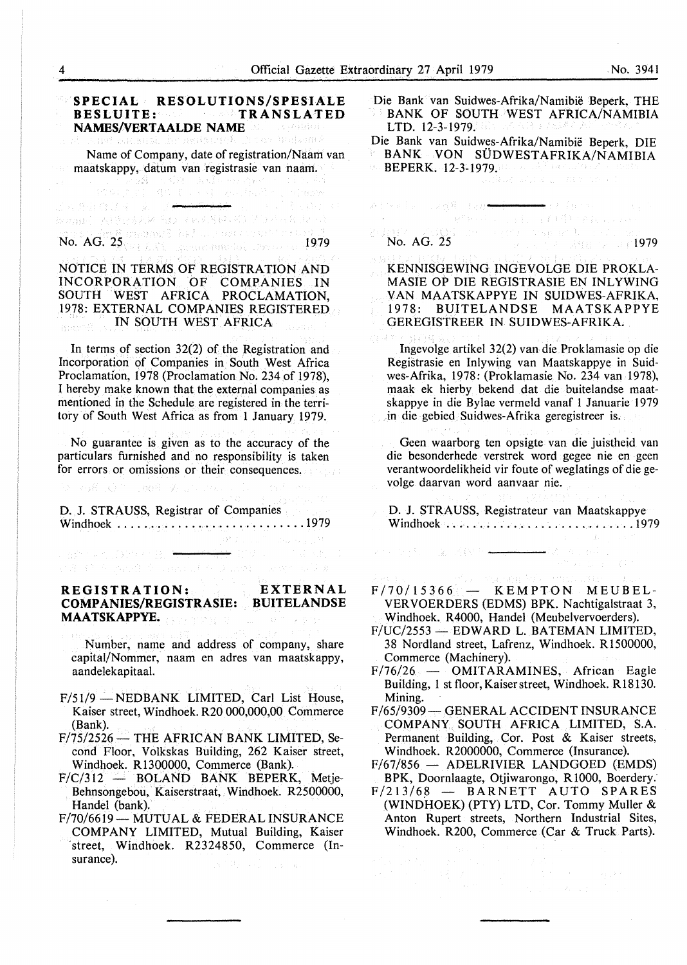**SPECIAL RESOLUTIONS/SPESIALE**<br>BESLUITE: **BESLUITE: TRANSLATED NAMES/VERTAALDE NAME**  r oan Welkomk Name of Company, date of registration/Naam van maatskappy, datum van registrasie van naam.<br>2008 – Andre anders anders in the second<br>2008 – Andre anders anders anders anders anders anders anders anders Athele Lad& Rab<del>er</del> 短短最后,人物对方表达不稳,才必要具体,可以是不可发,我不是 No. AG. 25 1980 1982 RM and the consideration of 2

#### NOTICE IN TERMS OF REGISTRATION AND INCORPORATION OF COMPANIES IN SOUTH WEST AFRICA PROCLAMATION, 19.78: EXTERNAL COMPANIES REGISTERED IN SOUTH WEST AFRICA goer<sup>s f</sup>

In terms of section 32(2) of the Registration and Incorporation of Companies in South West Africa Proclamation, 1978 (Proclamation No. 234 of 1978), I hereby make known that the external companies as mentioned in the Schedule are registered in the territory of South West Africa as from 1 January 1979.

No guarantee is given as to the accuracy of the particulars furnished and no responsibility is taken for errors or omissions or their consequences.

1.00% 头

の高いので

D. J. STRAUSS, Registrar of Companies Windhoek ............................ 1979

a mine of North B. <del>All and Wi</del>ll William College.

(注 C + paid + qualifier > cont competible)

 $D^2$  is

# **REGISTRATION: EXTERNAL COMP ANIES/REGISTRASIE: BUITELANDSE MAATSKAPPYE.**

Number, name and address of company, share capital/Nommer, naam en adres van maatskappy, aandelekapitaal.

- F/51/9 NEDBANK LIMITED, Carl List House, Kaiser street, Windhoek. R20 000,000,00 Commerce (Bank).
- $F/75/2526$  THE AFRICAN BANK LIMITED, Second Floor, Volkskas Building, 262 Kaiser street, Windhoek. R1300000, Commerce (Bank).
- $F/C/312$  BOLAND BANK BEPERK, Metje-Behnsongebou, Kaiserstraat, Windhoek. R2500000, Handel (bank).
- F/70/6619 MUTUAL & FEDERAL INSURANCE COMPANY LIMITED, Mutual Building, Kaiser ·street, Windhoek. R2324850, Commerce (Insurance).  $\mathbb{R}^{2}$   $\mathbb{R}_{2}^{2}$  and  $\mathbb{R}_{2}^{2}$  and  $\mathbb{R}_{2}^{2}$

Die Bank van Suidwes-Afrika/Namibie Beperk, THE BANK OF SOUTH WEST AFRICA/NAMIBIA LTD. 12-3-1979.

Die Bank van Suidwes-Afrika/Namibie Beperk, DIE BANK VON SUDWESTAFRIKA/NAMIBIA **BEPERK. 12-3-1979.** 1999. A 2008 March 2008

₩gy (geral o

# $\begin{array}{lll} \mathbb{Z}[\mathbb{R}^{3}][\mathbb{R}^{3}][\mathbb{R}^{3}][\mathbb{R}^{3}][\mathbb{R}^{3}][\mathbb{R}^{3}][\mathbb{R}^{3}][\mathbb{R}^{3}][\mathbb{R}^{3}][\mathbb{R}^{3}][\mathbb{R}^{3}][\mathbb{R}^{3}][\mathbb{R}^{3}][\mathbb{R}^{3}][\mathbb{R}^{3}][\mathbb{R}^{3}][\mathbb{R}^{3}][\mathbb{R}^{3}][\mathbb{R}^{3}][\mathbb{R}^{3}][\mathbb{R}$

KENNISGEWING INGEVOLGE DIE PROKLA-MASIE OP DIE REGISTRASIE EN INLYWING VAN MAATSKAPPYE IN SUIDWES-AFRIKA, 1978: BUITELANDSE MAATSKAPPYE GEREGISTREER IN SUIDWES-AFRIKA.

Ingevolge artikel 32(2) van die Proklamasie op die Registrasie en Inlywing van Maatskappye in Suidwes-Afrika, 1978: (Proklamasie No. 234 van 1978), maak ek hierby bekend dat die buitelandse maatskappye in die Bylae vermeld vanaf l Januarie 1979 in die gebied Suidwes-Afrika geregistreer is.

Geen waarborg ten opsigte van die juistheid van die besonderhede verstrek word gegee nie en geen verantwoordelikheid vir foute of weglatings of die gevolge daarvan word aanvaar nie.

D. J. STRAUSS, Registrateur van Maatskappye Windhoek ...................... , ..... 1979

 $F/70/15366$  - KEMPTON MEUBEL-VERVOERDERS (EDMS) BPK. Nachtigalstraat 3, Windhoek. R4000, Handel (Meubelvervoerders).

when the Fig. of ACR Research and March 2010

- F/UC/2553 EDWARD L. BATEMAN LIMITED, 38 Nordland street, Lafrenz, Windhoek. R 1500000, Commerce (Machinery).
- $F/76/26$  OMITARAMINES, African Eagle Building, 1 st floor, Kaiser street, Windhoek. R18130. Mining.
- F/65/9309 GENERAL ACCIDENT INSURANCE COMPANY SOUTH AFRICA LIMITED, S.A. Permanent Building, Cor. Post & Kaiser streets, Windhoek. R2000000, Commerce (Insurance).
- F/67/856 ADELRIVIER LANDGOED (EMDS) BPK, Doornlaagte, Otjiwarongo, RI000, Boerdery:
- F/213/68 BARNETT AUTO SPARES (WINDHOEK) (PTY) LTD, Cor. Tommy Muller & Anton Rupert streets, Northern Industrial Sites, Windhoek. R200, Commerce (Car & Truck Parts).

 $\begin{split} \frac{1}{\sqrt{2}}\frac{1}{\sqrt{2}}\frac{2\pi}{\sqrt{2}}&=\frac{1}{2}\frac{1}{\sqrt{2}}\frac{2\pi}{\sqrt{2}}\frac{2\pi}{\sqrt{2}}\frac{2\pi}{\sqrt{2}}\frac{2\pi}{\sqrt{2}}\frac{2\pi}{\sqrt{2}}\frac{2\pi}{\sqrt{2}}\frac{2\pi}{\sqrt{2}}\frac{2\pi}{\sqrt{2}}\frac{2\pi}{\sqrt{2}}\frac{2\pi}{\sqrt{2}}\frac{2\pi}{\sqrt{2}}\frac{2\pi}{\sqrt{2}}\frac{2\pi}{\sqrt{2}}\frac{2\pi}{\sqrt{$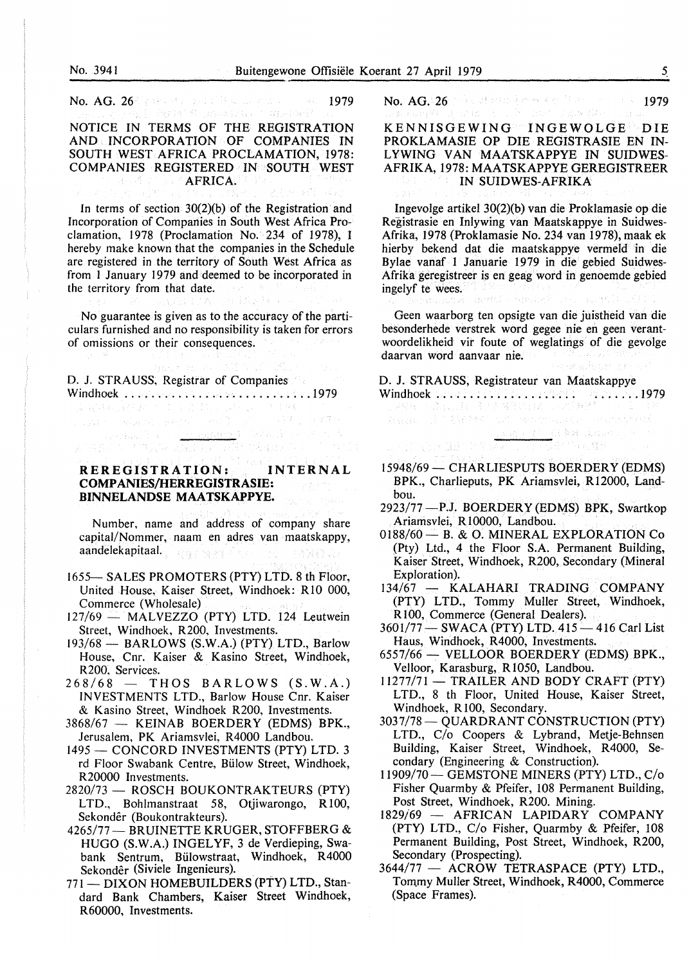No. 3941<br>Buitengew No. AG. 26" (per stronged if the same and second  $1979$ 

NOTICE IN TERMS OF THE REGISTRATION **AND INCORPORATION OF COMPANIES IN**  SOUTH WEST AFRICA PROCLAMATION, 1978: **COMPANIES REGISTERED IN SOUTH WEST AFRICA.** 

In terms of section  $30(2)(b)$  of the Registration and Incorporation of Companies in South West Africa Proclamation, 1978 (Proclamation No. 234 of 1978), I hereby make known that the companies in the Schedule are registered in the territory of South West Africa as from I January 1979 and deemed to be incorporated in the territory from that date.

No guarantee is given as to the accuracy of the particulars furnished and no responsibility is taken for errors of omissions or their consequences.

D. J. STRAUSS, Registrar of Companies  $\begin{array}{l} \textbf{Window: } \textcolor{red}{\textbf{W}} = \textcolor{red}{\textbf{W}} \times \textcolor{red}{\textbf{W}} \times \textcolor{red}{\textbf{W}} \times \textcolor{red}{\textbf{W}} \times \textcolor{red}{\textbf{W}} \times \textcolor{red}{\textbf{W}} \times \textcolor{red}{\textbf{W}} \times \textcolor{red}{\textbf{W}} \times \textcolor{red}{\textbf{W}} \times \textcolor{red}{\textbf{W}} \times \textcolor{red}{\textbf{W}} \times \textcolor{red}{\textbf{W}} \times \textcolor{red}{\textbf{W}} \times \textcolor{red}{\textbf{W$ 

**REREGISTRATION: INTERNAL COMPANIES/HERREGISTRASIE:**   $\tau_{\rm{max}} = \frac{1}{2} \sigma_{\rm{max}}^2 \frac{m_{\rm{max}}}{M}$  ,  $\tau_{\rm{max}}$ **BINNELANDSE MAATSKAPPYE.** 

Number, name and address of company share capital/Nommer, naam en adres van maatskappy, aandelekapitaal. **AMER** 

- 1655- SALES PROMOTERS (PTY) LTD. 8 th Floor, United House, Kaiser Street, Windhoek: RIO 000, Commerce (Wholesale)
- 127/69 MALVEZZO (PTY) LTD. 124 Leutwein Street, Windhoek, R200, Investments.
- 193/68 BARLOWS (S.W.A.) (PTY) LTD., Barlow House, Cnr. Kaiser & Kasino Street, Windhoek, R200, Services.
- $268/68$  THOS BARLOWS (S.W.A.) INVESTMENTS LTD., Barlow House Cnr. Kaiser & Kasino Street, Windhoek R200, Investments.
- 3868/67 KEINAB BOERDERY (EDMS) BPK., Jerusalem, PK Ariamsvlei, R4000 Landbou.
- 1495 CONCORD INVESTMENTS (PTY) LTD. 3 rd Floor Swabank Centre, Billow Street, Windhoek, R20000 Investments.
- 2820/73 ROSCH BOUKONTRAKTEURS (PTY) LTD., Bohlmanstraat 58, Otjiwarongo, RIOO, Sekonder (Boukontrakteurs).
- 4265/77 BRUINETTE KRUGER, STOFFBERG & HUGO (S.W.A.) INGELYF, 3 de Verdieping, Swabank Sentrum, Biilowstraat, Windhoek, R4000 Sekonder (Siviele Ingenieurs).
- 771 DIXON HOMEBUILDERS (PTY) LTD., Standard Bank Chambers, Kaiser Street Windhoek, R60000, Investments.

No.  $AG.26$  ) is at standard experimental in  $1979$ 

KENNISGEWING INGEWOLGE DIE PROKLAMASIE OP DIE REGISTRASIE EN IN-LYWING VAN MAATSKAPPYE IN SUIDWES-AFRIKA, 1978: MAATSKAPPYE GEREGISTREER IN SUIDWES-AFRIKA

Ingevolge artikel 30(2)(b) van die Proklamasie op die Registrasie en Inlywing van Maatskappye in Suidwes-Afrika, 1978 (Proklamasie No. 234 van 1978), maak ek hierby bekend dat die maatskappye vermeld in die Bylae vanaf l Januarie 1979 in die gebied Suidwes-Afrika geregistreer is en geag word in genoemde gebied ingelyf te wees. ment. agent had

Geen waarborg ten opsigte van die juistheid van die besonderhede verstrek word gegee nie en geen verantwoordelikheid vir foute of weglatings of die gevolge daarvan word aanvaar nie. sekibilit or

D. J. STRAUSS, Registrateur van Maatskappye Windhoek . . . . . . . . . . . . . . . . . . . . . . ...... 1979

- 15948/69- CHARLIESPUTS BOERDERY (EDMS) BPK., Charlieputs, PK Ariamsvlei, R12000, Landbou.
- 2923/77-P.J. BOERDERY (EDMS) BPK, Swartkop Ariamsvlei, R10000, Landbou.
- 0188/60 B. & O. MINERAL EXPLORATION Co (Pty) Ltd., 4 the Floor S.A. Permanent Building, Kaiser Street, Windhoek, R200, Secondary (Mineral Exploration).
- 134/67 KALAHARI TRADING COMPANY (PTY) LTD., Tommy Muller Street, Windhoek, RIO0, Commerce (General Dealers).
- 3601/77 SWACA (PTY) LTD. 415 416 Carl List Haus, Windhoek, R4000, Investments.
- 6557/66 VELLOOR BOERDERY (EDMS) BPK., Velloor, Karasburg, R1050, Landbou.
- 11277/71 TRAILER AND BODY CRAFT (PTY) LTD., 8 th Floor, United House, Kaiser Street, Windhoek, R100, Secondary.
- 3037178- QUARDRANT CONSTRUCTION (PTY) LTD., *Clo* Coopers & Lybrand, Metje-Behnsen Building, Kaiser Street, Windhoek, R4000, Secondary (Engineering & Construction).
- I 1909/70- GEMSTONE MINERS (PTY) LTD., *Clo*  Fisher Quarmby & Pfeifer, 108 Permanent Building, Post Street, Windhoek, R200. Mining.
- 1829/69 AFRICAN LAPIDARY COMPANY (PTY) LTD., *Clo* Fisher, Quarmby & Pfeifer, 108 Permanent Building, Post Street, Windhoek, R200, Secondary (Prospecting).
- 3644/77 ACROW TETRASPACE (PTY) LTD., Tommy Muller Street, Windhoek, R4000, Commerce (Space Frames).